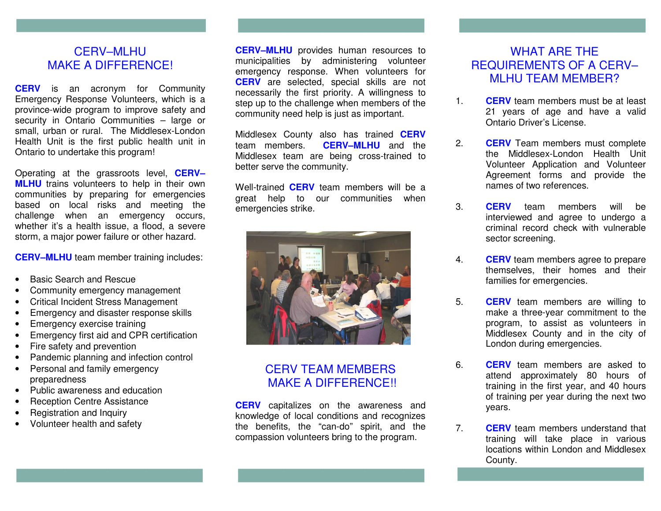### CERV–MLHU MAKE A DIFFERENCE!

**CERV** is an acronym for Community Emergency Response Volunteers, which is a province-wide program to improve safety and security in Ontario Communities – large or small, urban or rural. The Middlesex-London Health Unit is the first public health unit in Ontario to undertake this program!

Operating at the grassroots level, **CERV– MLHU** trains volunteers to help in their own communities by preparing for emergencies based on local risks and meeting the challenge when an emergency occurs, whether it's a health issue, a flood, a severe storm, a major power failure or other hazard.

**CERV–MLHU** team member training includes:

- Basic Search and Rescue
- Community emergency management
- Critical Incident Stress Management
- Emergency and disaster response skills
- Emergency exercise training
- Emergency first aid and CPR certification
- Fire safety and prevention
- Pandemic planning and infection control
- Personal and family emergency preparedness
- Public awareness and education
- Reception Centre Assistance
- Registration and Inquiry
- Volunteer health and safety

**CERV–MLHU** provides human resources to municipalities by administering volunteer emergency response. When volunteers for **CERV** are selected, special skills are not necessarily the first priority. A willingness to step up to the challenge when members of the community need help is just as important.

Middlesex County also has trained **CERV** team members. **CERV–MLHU** and the Middlesex team are being cross-trained to better serve the community.

Well-trained **CERV** team members will be a great help to our communities when emergencies strike.



### CERV TEAM MEMBERS MAKE A DIFFERENCE!!

**CERV** capitalizes on the awareness and knowledge of local conditions and recognizes the benefits, the "can-do" spirit, and the compassion volunteers bring to the program.

### WHAT ARE THE REQUIREMENTS OF A CERV– MLHU TEAM MEMBER?

- 1. **CERV** team members must be at least 21 years of age and have a valid Ontario Driver's License.
- 2. **CERV** Team members must complete the Middlesex-London Health Unit Volunteer Application and Volunteer Agreement forms and provide the names of two references.
- 3. **CERV** team members will be interviewed and agree to undergo a criminal record check with vulnerable sector screening.
- 4. **CERV** team members agree to prepare themselves, their homes and their families for emergencies.
- 5. **CERV** team members are willing to make a three-year commitment to the program, to assist as volunteers in Middlesex County and in the city of London during emergencies.
- 6. **CERV** team members are asked to attend approximately 80 hours of training in the first year, and 40 hours of training per year during the next two years.
- 7. **CERV** team members understand that training will take place in various locations within London and Middlesex County.